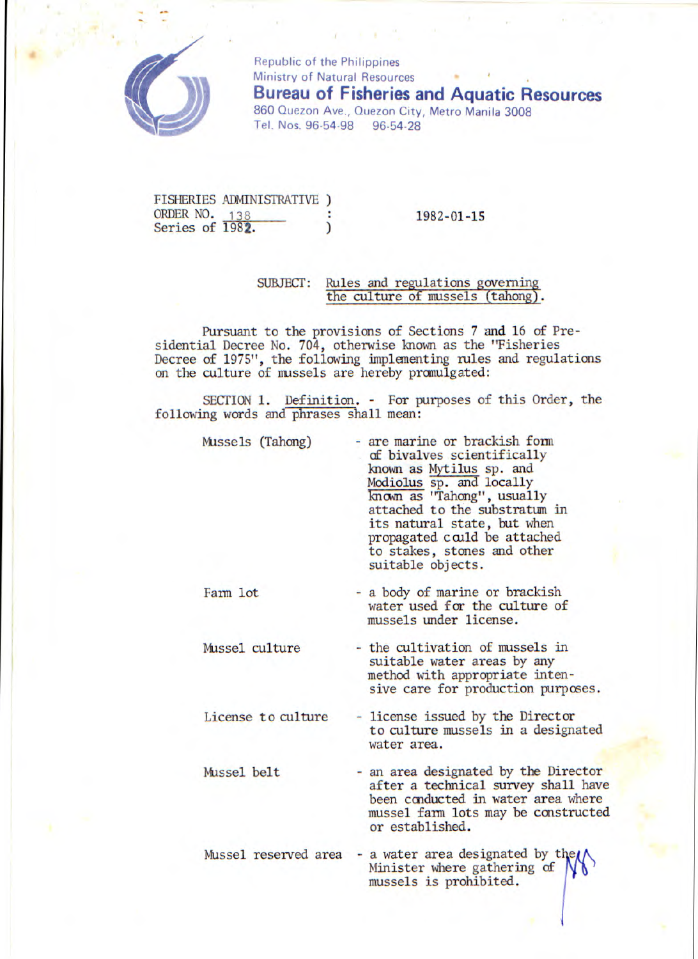

Republic of the Philippines Ministry of Natural Resources **Bureau of Fisheries and Aquatic Resources**  860 Quezon Ave., Quezon City, **Metro Manila 3008**  Tel. Nos. 96-54-98 96-54-28

FISHERIES ADMINISTRATIVE ) ORDER NO. 138 : 1982-01-15<br>Series of 1982. ) 1982-01-15

## SUBJECT: Rules and regulations govemin the culture of mussels (tahong

Pursuant to the provisions of Sections 7 and 16 of Presidential Decree No. 704, otherwise known as the "Fisheries Decree of 1975", the following implementing rules and regulations on the culture of mussels are hereby pranulgated:

SECTION 1. Definition. - For purposes of this Order, the following words and phrases shall mean:

| Mussels (Tahong) | - are marine or brackish form<br>of bivalves scientifically<br>known as Mytilus sp. and<br>Modiolus sp. and locally<br>known as "Tahong", usually<br>attached to the substratum in<br>its natural state, but when<br>propagated could be attached<br>to stakes, stones and other<br>suitable objects. |
|------------------|-------------------------------------------------------------------------------------------------------------------------------------------------------------------------------------------------------------------------------------------------------------------------------------------------------|
|------------------|-------------------------------------------------------------------------------------------------------------------------------------------------------------------------------------------------------------------------------------------------------------------------------------------------------|

Farm lot - a body of marine or brackish water used for the culture of mussels under license.

Mussel culture - the cultivation of mussels in suitable water areas by any method with appropriate intensive care for production purposes.

License to culture - license issued by the Director to culture mussels in a designated water area.

Mussel belt - an area designated by the Director after a technical survey shall have been conducted in water area where mussel farm lots may be constructed or established.

Mussel reserved area - a water area designated by the Minister where gathering of mussels is prohibited.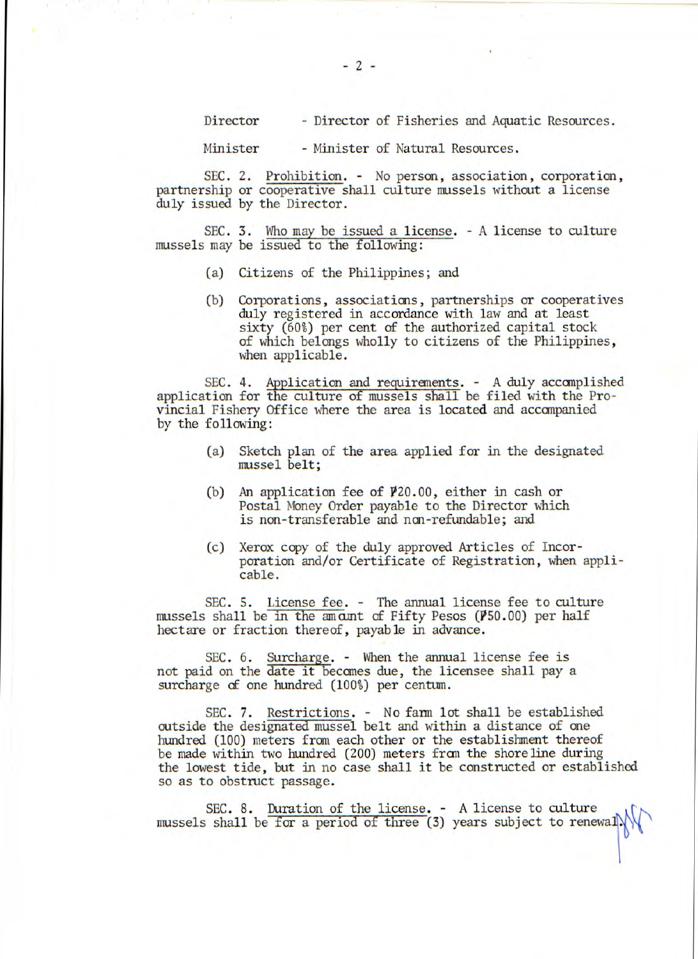Director - Director of Fisheries and Aquatic Resources.

Minister - Minister of Natural Resources.

SEC. 2. Prohibition. - No person, association, corporation, partnership or cooperative shall culture mussels without a license duly issued by the Director.

SEC. 3. Who may be issued a license. - A license to culture mussels may be issued to the following:

- (a) Citizens of the Philippines; and
- (b) Corporations, associations, partnerships or cooperatives duly registered in accordance with law and at least sixty (60%) per cent of the authorized capital stock of which belongs wholly to citizens of the Philippines, when applicable.

SEC. 4. Application and requirements. - A duly accomplished application for the culture of mussels shall be filed with the Provincial Fishery Office where the area is located and accompanied by the following:

- (a) Sketch plan of the area applied for in the designated mussel belt;
- (b) An application fee of P20.00, either in cash or Postal Money Order payable to the Director which is non-transferable and ncn-refundable; and
- (c) Xerox copy of the duly approved Articles of Incorporation and/or Certificate of Registration, when applicable.

SEC. S. License fee. - The annual license fee to culture mussels shall be in the amount of Fifty Pesos ( $\cancel{P}50.00$ ) per half hectare or fraction thereof, payable in advance.

SEC. 6. Surcharge. - When the annual license fee is not paid on the date it becomes due, the licensee shall pay a surcharge of one hundred (100%) per centum.

SEC. 7. Restrictions. - No farm lot shall be established outside the designated mussel belt and within a distance of one hundred (100) meters from each other or the establishment thereof be made within two hundred (200) meters fran the shoreline during the lowest tide, but in no case shall it be constructed or established so as to obstruct passage.

SEC. 8. Duration of the license. - A license to culture mussels shall be for a period of three (3) years subject to renewal.

-2-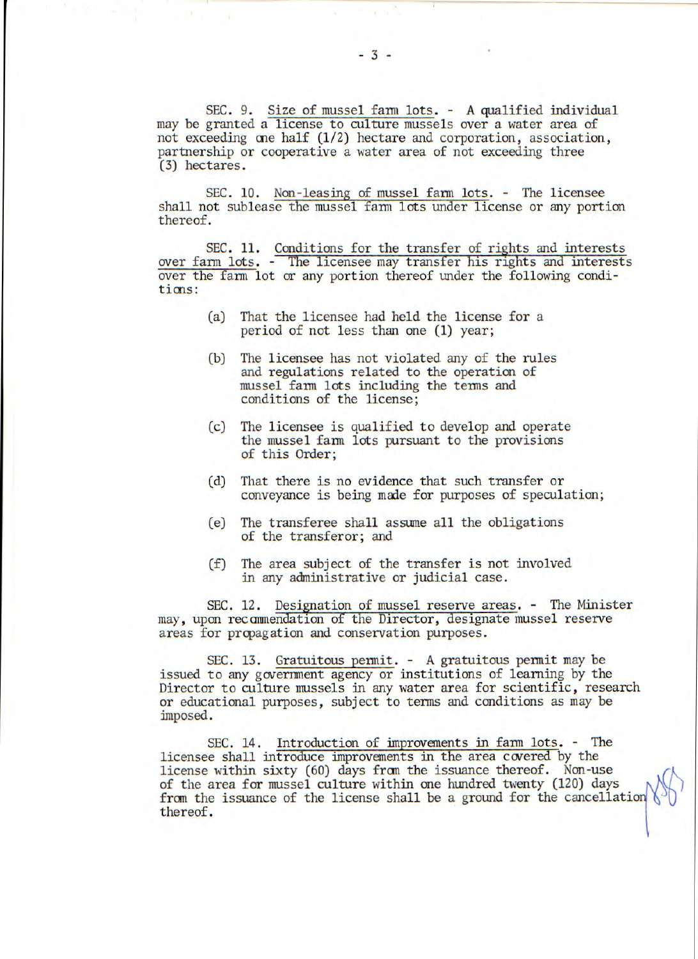SEC. 9. Size of mussel farm lots. - A qualified individual may be granted a license to culture mussels over a water area of not exceeding one half (1/2) hectare and corporation, association, partnership or cooperative a water area of not exceeding three (3) hectares.

SEC. 10. Non-leasing of mussel farm lots. - The licensee shall not sublease the mussel farm lots under license or any portion thereof.

SEC. 11. Conditions for the transfer of rights and interests over farm lots. -\_\_The licensee may transfer his rights and interests over the farm lot or any portion thereof under the following conditions:

- (a) That the licensee had held the license for a period of not less than one (1) year;
- (b) The licensee has not violated any of the rules and regulations related to the operation of mussel farm lots including the terms and conditions of the license;
- (c) The licensee is qualified to develop and operate the mussel farm lots pursuant to the provisions of this Order;
- (d) That there is no evidence that such transfer or conveyance is being made for purposes of speculation;
- (e) The transferee shall assume all the obligations of the transferor; and
- (f) The area subject of the transfer is not involved in any administrative or judicial case.

SEC. 12. Designation of mussel reserve areas. - The Minister may, upon recanmendation of the Director, designate mussel reserve areas for propagation and conservation purposes.

SEC. 13. Gratuitous permit. - A gratuitous permit may be issued to any government agency or institutions of learning by the Director to culture mussels in any water area for scientific, research or educational purposes, subject to terms and conditions as may be imposed.

SEC. 14. Introduction of improvements in farm lots. - The licensee shall introduce improvements in the area covered by the license within sixty (60) days from the issuance thereof. Non-use of the area for mussel culture within one hundred twenty (120) days from the issuance of the license shall be a ground for the cancellation thereof.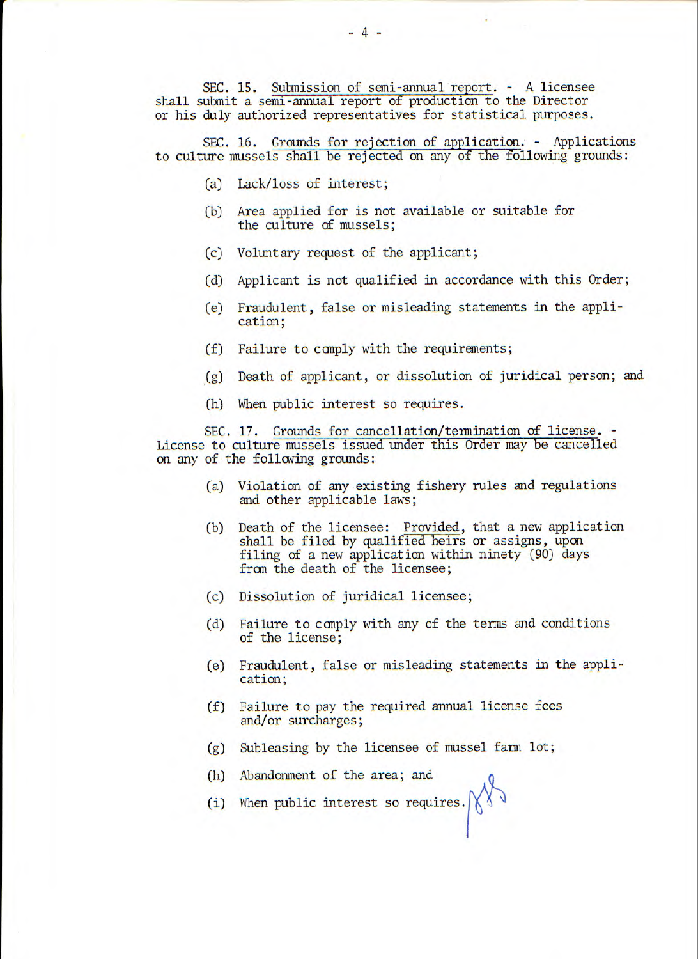SEC. 15. Submission of semi-annual report. - A licensee shall submit a semi-annual report of production to the Director or his duly authorized representatives for statistical purposes.

SEC. 16. Grounds for rejection of application. - Applications to culture mussels shall be rejected on any of the following grounds:

- (a) Lack/loss of interest;
- (b) Area applied for is not available or suitable for the culture of mussels;
- (c) Voluntary request of the applicant;
- (d) Applicant is not qualified in accordance with this Order;
- (e) Fraudulent, false or misleading statements in the application;
- (f) Failure to canply with the requirements;
- (g) Death of applicant, or dissolution of juridical person; and
- (h) When public interest so requires.

SEC. 17. Grounds for cancellation/termination of license. - License to culture mussels issued under this Order may be cancelled on any of the following grounds:

- (a) Violation of any existing fishery rules and regulations and other applicable laws;
- (b) Death of the licensee: Provided, that a new application shall be filed by qualified heirs or assigns, upon filing of a new application within ninety (90) days from the death of the licensee;
- (c) Dissolution of juridical licensee;
- (d) Failure to canply with any of the terms and conditions of the license;
- (e) Fraudulent, false or misleading statements in the application;
- (f) Failure to pay the required annual license fees and/or surcharges;
- (g) Subleasing by the licensee of mussel farm lot;
- (h) Abandonment of the area; and
- (i) When public interest so requires.  $\bigwedge^{\!\!\! \bigwedge^{\!\!\! \bigwedge^{\!\!\!\!}}\ {\mathbb V}}$